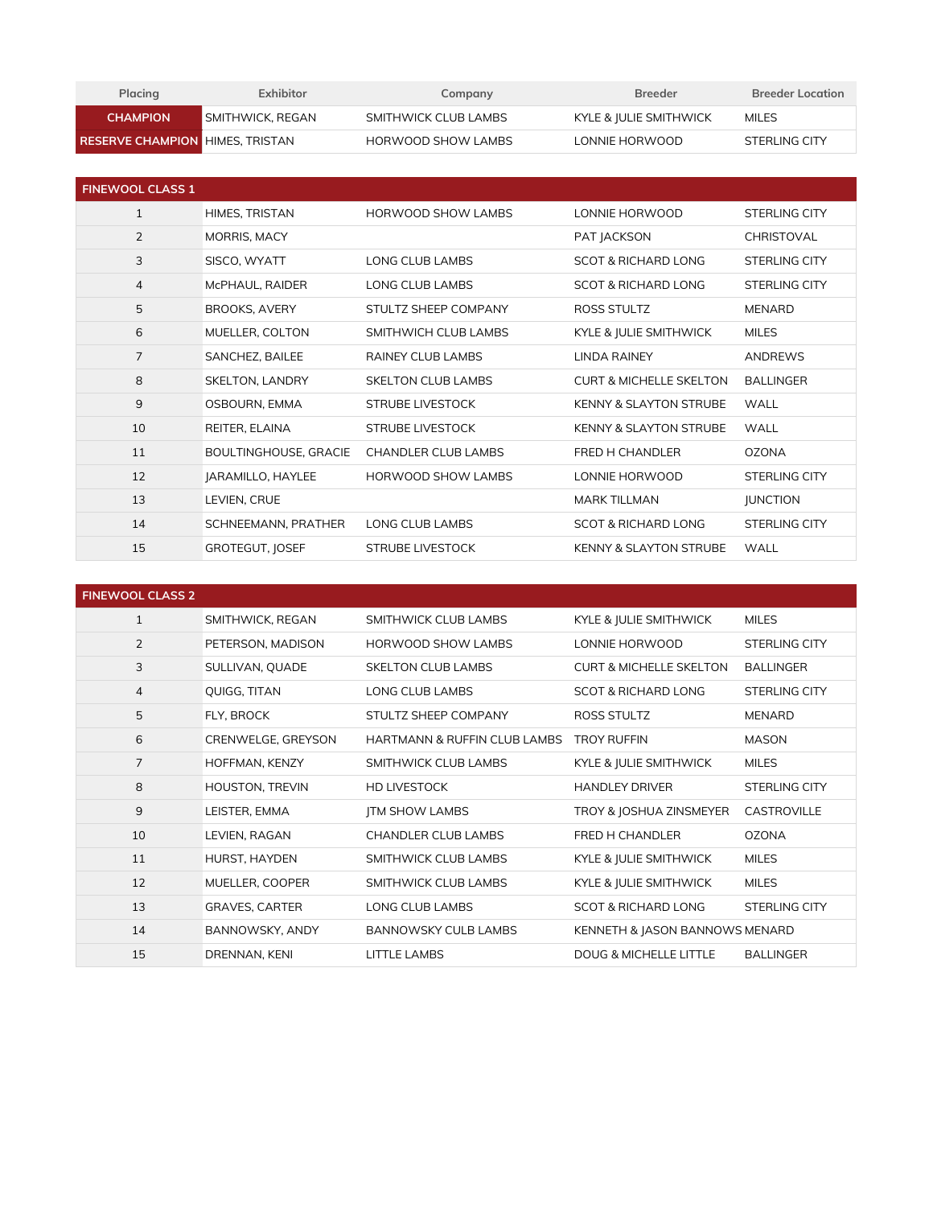| Placing                                | Exhibitor               | Company              | <b>Breeder</b>         | <b>Breeder Location</b> |
|----------------------------------------|-------------------------|----------------------|------------------------|-------------------------|
| <b>CHAMPION</b>                        | <b>SMITHWICK, REGAN</b> | SMITHWICK CLUB LAMBS | KYLE & JULIE SMITHWICK | MILES                   |
| <b>RESERVE CHAMPION HIMES. TRISTAN</b> |                         | HORWOOD SHOW LAMBS   | LONNIE HORWOOD         | STERLING CITY           |

| <b>FINEWOOL CLASS 1</b> |                        |                            |                                    |                      |
|-------------------------|------------------------|----------------------------|------------------------------------|----------------------|
| $\mathbf{1}$            | HIMES, TRISTAN         | HORWOOD SHOW LAMBS         | LONNIE HORWOOD                     | <b>STERLING CITY</b> |
| $\overline{2}$          | MORRIS, MACY           |                            | PAT JACKSON                        | CHRISTOVAL           |
| 3                       | SISCO, WYATT           | LONG CLUB LAMBS            | <b>SCOT &amp; RICHARD LONG</b>     | STERLING CITY        |
| 4                       | McPHAUL, RAIDER        | LONG CLUB LAMBS            | <b>SCOT &amp; RICHARD LONG</b>     | STERLING CITY        |
| 5                       | <b>BROOKS, AVERY</b>   | STULTZ SHEEP COMPANY       | ROSS STULTZ                        | <b>MENARD</b>        |
| 6                       | MUELLER, COLTON        | SMITHWICH CLUB LAMBS       | KYLE & JULIE SMITHWICK             | <b>MILES</b>         |
| $\overline{7}$          | SANCHEZ, BAILEE        | <b>RAINEY CLUB LAMBS</b>   | <b>LINDA RAINEY</b>                | <b>ANDREWS</b>       |
| 8                       | <b>SKELTON, LANDRY</b> | <b>SKELTON CLUB LAMBS</b>  | <b>CURT &amp; MICHELLE SKELTON</b> | <b>BALLINGER</b>     |
| 9                       | OSBOURN, EMMA          | <b>STRUBE LIVESTOCK</b>    | <b>KENNY &amp; SLAYTON STRUBE</b>  | <b>WALL</b>          |
| 10                      | REITER, ELAINA         | <b>STRUBE LIVESTOCK</b>    | <b>KENNY &amp; SLAYTON STRUBE</b>  | <b>WALL</b>          |
| 11                      | BOULTINGHOUSE, GRACIE  | <b>CHANDLER CLUB LAMBS</b> | FRED H CHANDLER                    | <b>OZONA</b>         |
| 12                      | JARAMILLO, HAYLEE      | HORWOOD SHOW LAMBS         | LONNIE HORWOOD                     | <b>STERLING CITY</b> |
| 13                      | LEVIEN, CRUE           |                            | <b>MARK TILLMAN</b>                | <b>JUNCTION</b>      |
| 14                      | SCHNEEMANN, PRATHER    | LONG CLUB LAMBS            | <b>SCOT &amp; RICHARD LONG</b>     | STERLING CITY        |
| 15                      | <b>GROTEGUT, JOSEF</b> | <b>STRUBE LIVESTOCK</b>    | <b>KENNY &amp; SLAYTON STRUBE</b>  | <b>WALL</b>          |

| <b>FINEWOOL CLASS 2</b> |                       |                              |                                    |                      |
|-------------------------|-----------------------|------------------------------|------------------------------------|----------------------|
| $\mathbf{1}$            | SMITHWICK, REGAN      | SMITHWICK CLUB LAMBS         | KYLE & JULIE SMITHWICK             | <b>MILES</b>         |
| $\overline{2}$          | PETERSON, MADISON     | <b>HORWOOD SHOW LAMBS</b>    | LONNIE HORWOOD                     | STERLING CITY        |
| 3                       | SULLIVAN, QUADE       | <b>SKELTON CLUB LAMBS</b>    | <b>CURT &amp; MICHELLE SKELTON</b> | <b>BALLINGER</b>     |
| $\overline{4}$          | QUIGG, TITAN          | LONG CLUB LAMBS              | <b>SCOT &amp; RICHARD LONG</b>     | STERLING CITY        |
| 5                       | FLY, BROCK            | STULTZ SHEEP COMPANY         | <b>ROSS STULTZ</b>                 | <b>MENARD</b>        |
| 6                       | CRENWELGE, GREYSON    | HARTMANN & RUFFIN CLUB LAMBS | <b>TROY RUFFIN</b>                 | <b>MASON</b>         |
| $\overline{7}$          | HOFFMAN, KENZY        | SMITHWICK CLUB LAMBS         | KYLE & JULIE SMITHWICK             | <b>MILES</b>         |
| 8                       | HOUSTON, TREVIN       | <b>HD LIVESTOCK</b>          | <b>HANDLEY DRIVER</b>              | <b>STERLING CITY</b> |
| 9                       | LEISTER, EMMA         | <b>JTM SHOW LAMBS</b>        | TROY & JOSHUA ZINSMEYER            | CASTROVILLE          |
| 10                      | LEVIEN, RAGAN         | <b>CHANDLER CLUB LAMBS</b>   | FRED H CHANDLER                    | <b>OZONA</b>         |
| 11                      | HURST, HAYDEN         | SMITHWICK CLUB LAMBS         | KYLE & JULIE SMITHWICK             | <b>MILES</b>         |
| 12                      | MUELLER, COOPER       | SMITHWICK CLUB LAMBS         | KYLE & JULIE SMITHWICK             | <b>MILES</b>         |
| 13                      | <b>GRAVES, CARTER</b> | LONG CLUB LAMBS              | SCOT & RICHARD LONG                | STERLING CITY        |
| 14                      | BANNOWSKY, ANDY       | <b>BANNOWSKY CULB LAMBS</b>  | KENNETH & JASON BANNOWS MENARD     |                      |
| 15                      | DRENNAN, KENI         | <b>LITTLE LAMBS</b>          | <b>DOUG &amp; MICHELLE LITTLE</b>  | <b>BALLINGER</b>     |